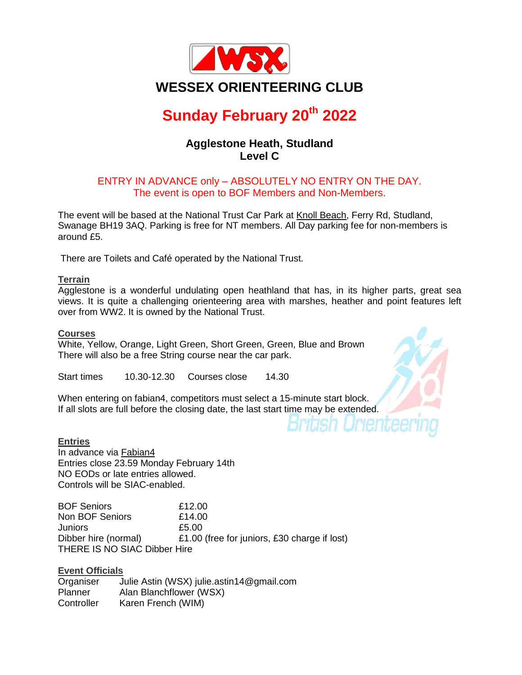

## **Sunday February 20th 2022**

### **Agglestone Heath, Studland Level C**

#### ENTRY IN ADVANCE only – ABSOLUTELY NO ENTRY ON THE DAY. The event is open to BOF Members and Non-Members.

The event will be based at the National Trust Car Park at Knoll [Beach,](https://www.google.com/maps/place/Knoll+Beach+Cafe/@50.6518894,-1.9559114,17z/data=!3m2!4b1!5s0x487309f771bf7c65:0x7015b7785e71fa9f!4m5!3m4!1s0x487309f771205d87:0x732d3c0dcc79d854!8m2!3d50.6518825!4d-1.9537196) Ferry Rd, Studland, Swanage BH19 3AQ. Parking is free for NT members. All Day parking fee for non-members is around £5.

There are Toilets and Café operated by the National Trust.

#### **Terrain**

Agglestone is a wonderful undulating open heathland that has, in its higher parts, great sea views. It is quite a challenging orienteering area with marshes, heather and point features left over from WW2. It is owned by the National Trust.

#### **Courses**

White, Yellow, Orange, Light Green, Short Green, Green, Blue and Brown There will also be a free String course near the car park.

Start times 10.30-12.30 Courses close 14.30

When entering on fabian4, competitors must select a 15-minute start block. If all slots are full before the closing date, the last start time may be extended.

#### **Entries**

In advance via [Fabian4](http://www.fabian4.co.uk/Default.aspx?EventID=2110) Entries close 23.59 Monday February 14th NO EODs or late entries allowed. Controls will be SIAC-enabled.

BOF Seniors £12.00 Non BOF Seniors 614.00 Juniors £5.00 Dibber hire (normal) £1.00 (free for juniors, £30 charge if lost) THERE IS NO SIAC Dibber Hire

#### **Event Officials**

Organiser Julie Astin (WSX) julie.astin14@gmail.com Planner Alan Blanchflower (WSX) Controller Karen French (WIM)